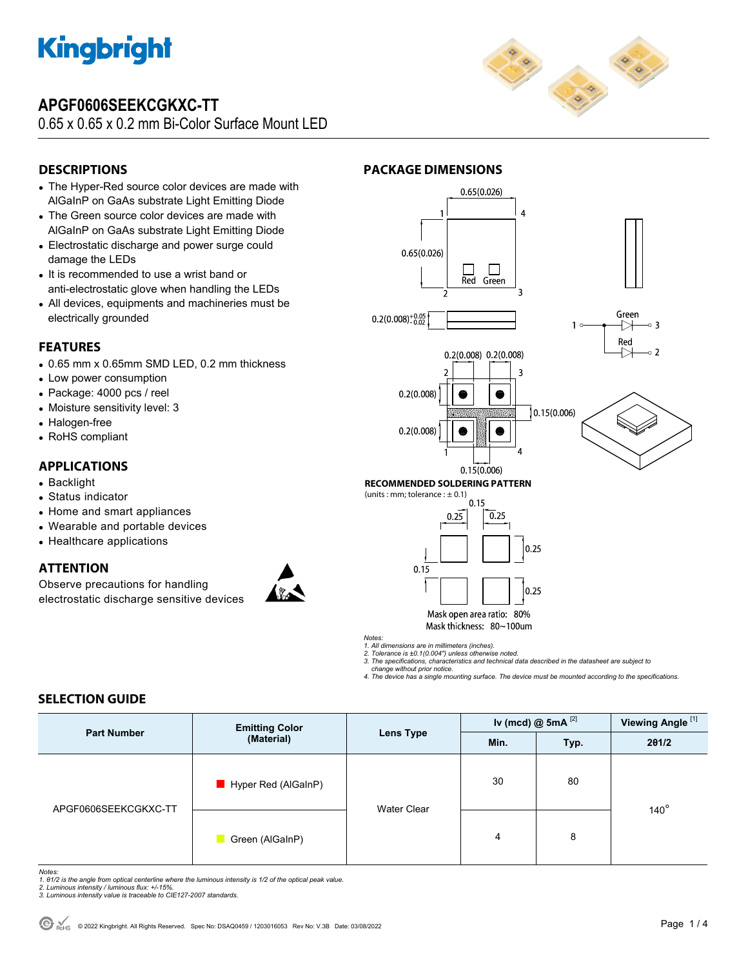

## **APGF0606SEEKCGKXC-TT**

0.65 x 0.65 x 0.2 mm Bi-Color Surface Mount LED



## **DESCRIPTIONS**

- The Hyper-Red source color devices are made with AlGaInP on GaAs substrate Light Emitting Diode
- The Green source color devices are made with AlGaInP on GaAs substrate Light Emitting Diode
- Electrostatic discharge and power surge could damage the LEDs
- It is recommended to use a wrist band or anti-electrostatic glove when handling the LEDs
- All devices, equipments and machineries must be electrically grounded

### **FEATURES**

- 0.65 mm x 0.65mm SMD LED, 0.2 mm thickness
- Low power consumption
- Package: 4000 pcs / reel
- Moisture sensitivity level: 3
- Halogen-free
- RoHS compliant

### **APPLICATIONS**

- Backlight
- Status indicator
- Home and smart appliances
- Wearable and portable devices
- Healthcare applications

### **ATTENTION**

Observe precautions for handling electrostatic discharge sensitive devices



### **PACKAGE DIMENSIONS**



*Notes:* 

*1. All dimensions are in millimeters (inches). 2. Tolerance is ±0.1(0.004") unless otherwise noted.* 

*3. The specifications, characteristics and technical data described in the datasheet are subject to change without prior notice.* 

*4. The device has a single mounting surface. The device must be mounted according to the specifications.* 

### **SELECTION GUIDE**

| <b>Part Number</b>   | <b>Emitting Color</b><br>(Material) | Lens Type          | Iv (mcd) $@$ 5mA $^{[2]}$ |      | Viewing Angle <sup>[1]</sup> |
|----------------------|-------------------------------------|--------------------|---------------------------|------|------------------------------|
|                      |                                     |                    | Min.                      | Typ. | 201/2                        |
| APGF0606SEEKCGKXC-TT | Hyper Red (AlGaInP)                 | <b>Water Clear</b> | 30                        | 80   |                              |
|                      | Green (AlGaInP)                     |                    | 4                         | 8    | $140^\circ$                  |

*Notes:* 

*1. θ1/2 is the angle from optical centerline where the luminous intensity is 1/2 of the optical peak value. 2. Luminous intensity / luminous flux: +/-15%.* 

*3. Luminous intensity value is traceable to CIE127-2007 standards.*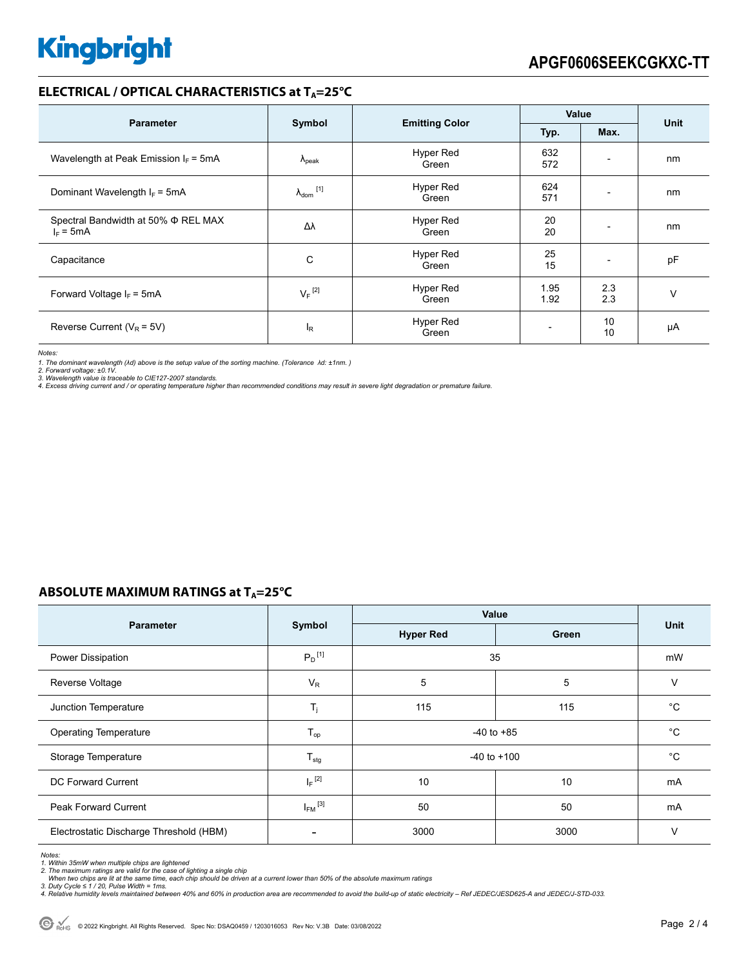### **ELECTRICAL / OPTICAL CHARACTERISTICS at T<sub>A</sub>=25°C**

| <b>Parameter</b>                                   | Symbol                     |                           | Value                    |                          |      |
|----------------------------------------------------|----------------------------|---------------------------|--------------------------|--------------------------|------|
|                                                    |                            | <b>Emitting Color</b>     | Typ.                     | Max.                     | Unit |
| Wavelength at Peak Emission $I_F = 5mA$            | $\Lambda_{\rm peak}$       | <b>Hyper Red</b><br>Green | 632<br>572               | $\overline{\phantom{a}}$ | nm   |
| Dominant Wavelength $I_F = 5mA$                    | $\lambda_{\text{dom}}$ [1] | Hyper Red<br>Green        | 624<br>571               | $\overline{\phantom{0}}$ | nm   |
| Spectral Bandwidth at 50% Φ REL MAX<br>$I_F = 5mA$ | Δλ                         | <b>Hyper Red</b><br>Green | 20<br>20                 | $\overline{\phantom{a}}$ | nm   |
| Capacitance                                        | C                          | Hyper Red<br>Green        | 25<br>15                 |                          | pF   |
| Forward Voltage $I_F$ = 5mA                        | $V_F$ <sup>[2]</sup>       | Hyper Red<br>Green        | 1.95<br>1.92             | 2.3<br>2.3               | v    |
| Reverse Current ( $V_R$ = 5V)                      | l <sub>R</sub>             | <b>Hyper Red</b><br>Green | $\overline{\phantom{0}}$ | 10<br>10                 | μA   |

*Notes:* 

1. The dominant wavelength (λd) above is the setup value of the sorting machine. (Tolerance λd: ±1nm. )<br>2. Forward voltage: ±0.1V.<br>3. Wavelength value is traceable to CIE127-2007 standards.<br>4. Excess driving current and /

## **ABSOLUTE MAXIMUM RATINGS at T<sub>A</sub>=25°C**

|                                         | Symbol                     | Value            |             |             |
|-----------------------------------------|----------------------------|------------------|-------------|-------------|
| <b>Parameter</b>                        |                            | <b>Hyper Red</b> | Green       | <b>Unit</b> |
| Power Dissipation                       | $P_D$ <sup>[1]</sup>       | 35               |             | mW          |
| Reverse Voltage                         | $V_R$                      | 5                | 5           | $\vee$      |
| Junction Temperature                    | $T_{\rm j}$                | 115              | 115         | $^{\circ}C$ |
| <b>Operating Temperature</b>            | $T_{op}$<br>$-40$ to $+85$ |                  |             | $^{\circ}C$ |
| Storage Temperature                     | $T_{\text{stg}}$           | $-40$ to $+100$  | $^{\circ}C$ |             |
| DC Forward Current                      | $I_F$ <sup>[2]</sup>       | 10               | 10          | mA          |
| <b>Peak Forward Current</b>             | $I_{FM}$ <sup>[3]</sup>    | 50               | 50          | mA          |
| Electrostatic Discharge Threshold (HBM) | $\overline{\phantom{a}}$   | 3000             | 3000        | $\vee$      |

*Notes:* 

1. Within 35mW when multiple chips are lightened<br>2. The maximum ratings are valid for the case of lighting a single chip<br>- When two chips are lit at the same time, each chip should be driven at a current lower than 50% of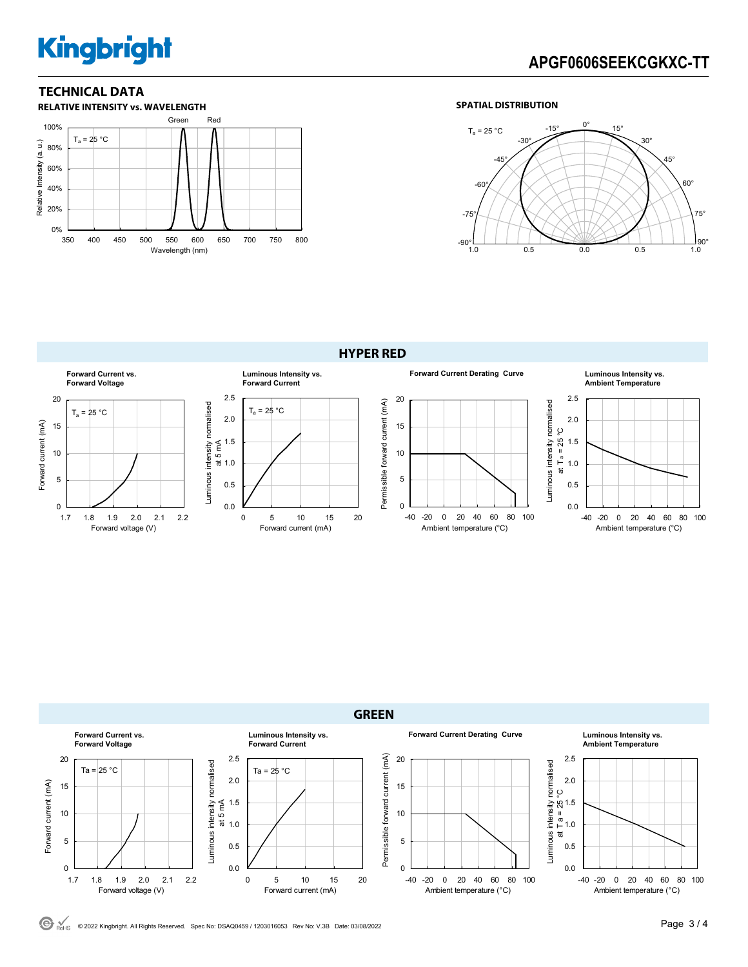# **Kingbright**

# **APGF0606SEEKCGKXC-TT**

## **TECHNICAL DATA**



### **SPATIAL DISTRIBUTION**